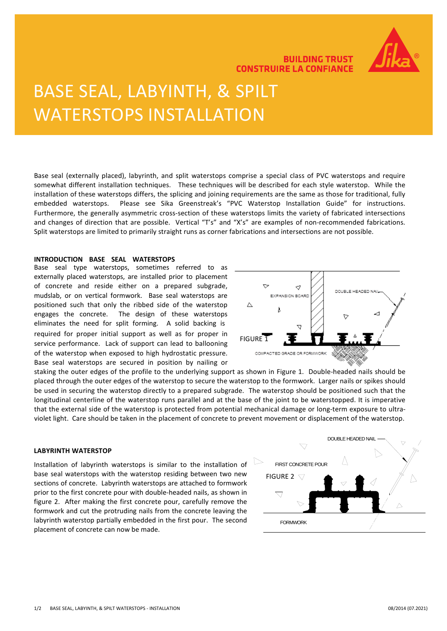

### **BUILDING TRUST CONSTRUIRE LA CONFIANCE**

# BASE SEAL, LABYINTH, & SPILT WATERSTOPS INSTALLATION

somewhat different installation techniques. These techniques will be described for each style waterstop. While the<br>installation of these waterstops differs, the splicing and joining requirements are the same as those for t Furthermore, the generally asymmetric cross-section of these waterstops limits the variety of fabricated intersections<br>and changes of direction that are possible. Vertical "T's" and "X's" are examples of non-recommended fa Base seal (externally placed), labyrinth, and split waterstops comprise a special class of PVC waterstops and require somewhat different installation techniques. These techniques will be described for each style waterstop. While the embedded waterstops. Please see Sika Greenstreak's "PVC Waterstop Installation Guide" for instructions. Furthermore, the generally asymmetric cross-section of these waterstops limits the variety of fabricated intersections Split waterstops are limited to primarily straight runs as corner fabrications and intersections are not possible.

### **INTRODUCTION BASE SEAL WATERSTOPS**

Base seal type waterstops, sometimes referred to as externally placed waterstops, are installed prior to placement of concrete and reside either on a prepared subgrade, mudslab, or on vertical formwork. Base seal waterstops are positioned such that only the ribbed side of the waterstop engages the concrete. The design of these waterstops eliminates the need for split forming. A solid backing is required for proper initial support as well as for proper in  $F = \frac{F}{1}$  service performance. Lack of support can lead to ballooning of the waterstop when exposed to high hydrostatic pressure. Base seal waterstops are secured in position by nailing or



staking the outer edges of the profile to the underlying support as shown in Figure 1. Double-headed nails should be placed through the outer edges of the waterstop to secure the waterstop to the formwork. Larger nails or spikes should be used in securing the waterstop directly to a prepared subgrade. The waterstop should be positioned such that the longitudinal centerline of the waterstop runs parallel and at the base of the joint to be waterstopped. It is imperative that the external side of the waterstop is protected from potential mechanical damage or long-term exposure to ultraviolet light. Care should be taken in the placement of concrete to prevent movement or displacement of the waterstop.

### **LABYRINTH WATERSTOP**

Installation of labyrinth waterstops is similar to the installation of base seal waterstops with the waterstop residing between two new sections of concrete. Labyrinth waterstops are attached to formwork prior to the first concrete pour with double-headed nails, as shown in figure 2. After making the first concrete pour, carefully remove the formwork and cut the protruding nails from the concrete leaving the labyrinth waterstop partially embedded in the first pour. The second placement of concrete can now be made.